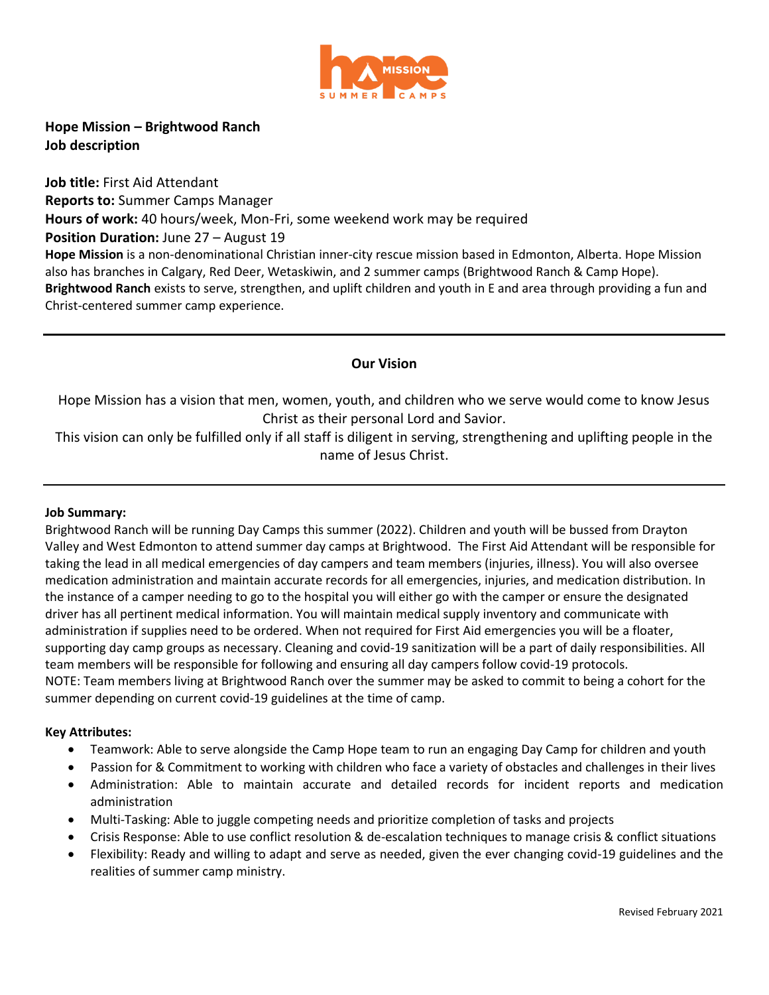

**Hope Mission – Brightwood Ranch Job description**

**Job title:** First Aid Attendant **Reports to:** Summer Camps Manager **Hours of work:** 40 hours/week, Mon-Fri, some weekend work may be required **Position Duration: June 27 – August 19 Hope Mission** is a non-denominational Christian inner-city rescue mission based in Edmonton, Alberta. Hope Mission also has branches in Calgary, Red Deer, Wetaskiwin, and 2 summer camps (Brightwood Ranch & Camp Hope). **Brightwood Ranch** exists to serve, strengthen, and uplift children and youth in E and area through providing a fun and Christ-centered summer camp experience.

# **Our Vision**

Hope Mission has a vision that men, women, youth, and children who we serve would come to know Jesus Christ as their personal Lord and Savior.

This vision can only be fulfilled only if all staff is diligent in serving, strengthening and uplifting people in the name of Jesus Christ.

# **Job Summary:**

Brightwood Ranch will be running Day Camps this summer (2022). Children and youth will be bussed from Drayton Valley and West Edmonton to attend summer day camps at Brightwood. The First Aid Attendant will be responsible for taking the lead in all medical emergencies of day campers and team members (injuries, illness). You will also oversee medication administration and maintain accurate records for all emergencies, injuries, and medication distribution. In the instance of a camper needing to go to the hospital you will either go with the camper or ensure the designated driver has all pertinent medical information. You will maintain medical supply inventory and communicate with administration if supplies need to be ordered. When not required for First Aid emergencies you will be a floater, supporting day camp groups as necessary. Cleaning and covid-19 sanitization will be a part of daily responsibilities. All team members will be responsible for following and ensuring all day campers follow covid-19 protocols. NOTE: Team members living at Brightwood Ranch over the summer may be asked to commit to being a cohort for the summer depending on current covid-19 guidelines at the time of camp.

# **Key Attributes:**

- Teamwork: Able to serve alongside the Camp Hope team to run an engaging Day Camp for children and youth
- Passion for & Commitment to working with children who face a variety of obstacles and challenges in their lives
- Administration: Able to maintain accurate and detailed records for incident reports and medication administration
- Multi-Tasking: Able to juggle competing needs and prioritize completion of tasks and projects
- Crisis Response: Able to use conflict resolution & de-escalation techniques to manage crisis & conflict situations
- Flexibility: Ready and willing to adapt and serve as needed, given the ever changing covid-19 guidelines and the realities of summer camp ministry.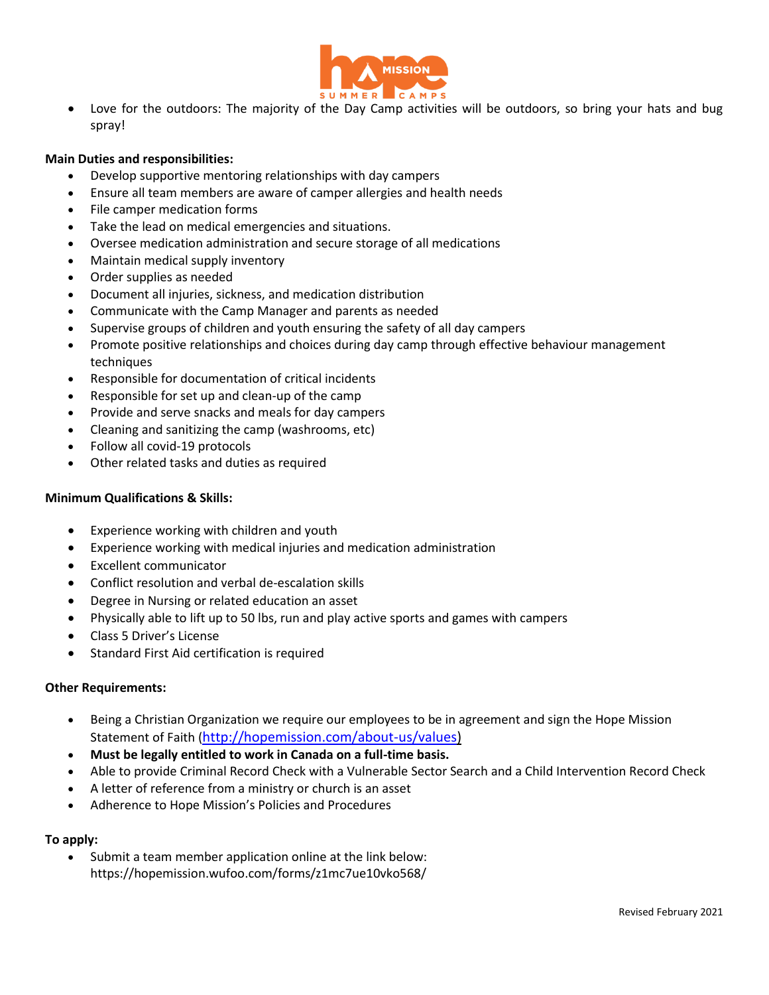

 Love for the outdoors: The majority of the Day Camp activities will be outdoors, so bring your hats and bug spray!

# **Main Duties and responsibilities:**

- Develop supportive mentoring relationships with day campers
- Ensure all team members are aware of camper allergies and health needs
- File camper medication forms
- Take the lead on medical emergencies and situations.
- Oversee medication administration and secure storage of all medications
- Maintain medical supply inventory
- Order supplies as needed
- Document all injuries, sickness, and medication distribution
- Communicate with the Camp Manager and parents as needed
- Supervise groups of children and youth ensuring the safety of all day campers
- Promote positive relationships and choices during day camp through effective behaviour management techniques
- Responsible for documentation of critical incidents
- Responsible for set up and clean-up of the camp
- Provide and serve snacks and meals for day campers
- Cleaning and sanitizing the camp (washrooms, etc)
- Follow all covid-19 protocols
- Other related tasks and duties as required

#### **Minimum Qualifications & Skills:**

- Experience working with children and youth
- Experience working with medical injuries and medication administration
- Excellent communicator
- Conflict resolution and verbal de-escalation skills
- Degree in Nursing or related education an asset
- Physically able to lift up to 50 lbs, run and play active sports and games with campers
- Class 5 Driver's License
- Standard First Aid certification is required

# **Other Requirements:**

- Being a Christian Organization we require our employees to be in agreement and sign the Hope Mission Statement of Faith ([http://hopemission.com/about-us/values\)](http://hopemission.com/about-us/values)
- **Must be legally entitled to work in Canada on a full-time basis.**
- Able to provide Criminal Record Check with a Vulnerable Sector Search and a Child Intervention Record Check
- A letter of reference from a ministry or church is an asset
- Adherence to Hope Mission's Policies and Procedures

# **To apply:**

 Submit a team member application online at the link below: https://hopemission.wufoo.com/forms/z1mc7ue10vko568/